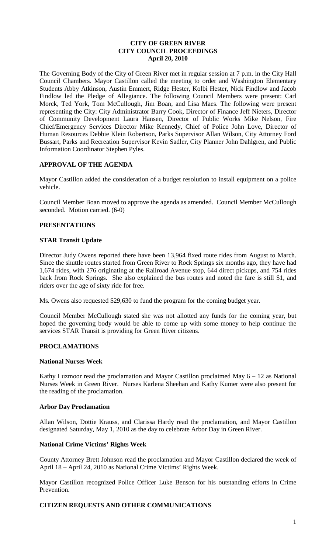### **CITY OF GREEN RIVER CITY COUNCIL PROCEEDINGS April 20, 2010**

The Governing Body of the City of Green River met in regular session at 7 p.m. in the City Hall Council Chambers. Mayor Castillon called the meeting to order and Washington Elementary Students Abby Atkinson, Austin Emmert, Ridge Hester, Kolbi Hester, Nick Findlow and Jacob Findlow led the Pledge of Allegiance. The following Council Members were present: Carl Morck, Ted York, Tom McCullough, Jim Boan, and Lisa Maes. The following were present representing the City: City Administrator Barry Cook, Director of Finance Jeff Nieters, Director of Community Development Laura Hansen, Director of Public Works Mike Nelson, Fire Chief/Emergency Services Director Mike Kennedy, Chief of Police John Love, Director of Human Resources Debbie Klein Robertson, Parks Supervisor Allan Wilson, City Attorney Ford Bussart, Parks and Recreation Supervisor Kevin Sadler, City Planner John Dahlgren, and Public Information Coordinator Stephen Pyles.

## **APPROVAL OF THE AGENDA**

Mayor Castillon added the consideration of a budget resolution to install equipment on a police vehicle.

Council Member Boan moved to approve the agenda as amended. Council Member McCullough seconded. Motion carried. (6-0)

## **PRESENTATIONS**

### **STAR Transit Update**

Director Judy Owens reported there have been 13,964 fixed route rides from August to March. Since the shuttle routes started from Green River to Rock Springs six months ago, they have had 1,674 rides, with 276 originating at the Railroad Avenue stop, 644 direct pickups, and 754 rides back from Rock Springs. She also explained the bus routes and noted the fare is still \$1, and riders over the age of sixty ride for free.

Ms. Owens also requested \$29,630 to fund the program for the coming budget year.

Council Member McCullough stated she was not allotted any funds for the coming year, but hoped the governing body would be able to come up with some money to help continue the services STAR Transit is providing for Green River citizens.

### **PROCLAMATIONS**

#### **National Nurses Week**

Kathy Luzmoor read the proclamation and Mayor Castillon proclaimed May  $6 - 12$  as National Nurses Week in Green River. Nurses Karlena Sheehan and Kathy Kumer were also present for the reading of the proclamation.

### **Arbor Day Proclamation**

Allan Wilson, Dottie Krauss, and Clarissa Hardy read the proclamation, and Mayor Castillon designated Saturday, May 1, 2010 as the day to celebrate Arbor Day in Green River.

## **National Crime Victims' Rights Week**

County Attorney Brett Johnson read the proclamation and Mayor Castillon declared the week of April 18 – April 24, 2010 as National Crime Victims' Rights Week.

Mayor Castillon recognized Police Officer Luke Benson for his outstanding efforts in Crime Prevention.

### **CITIZEN REQUESTS AND OTHER COMMUNICATIONS**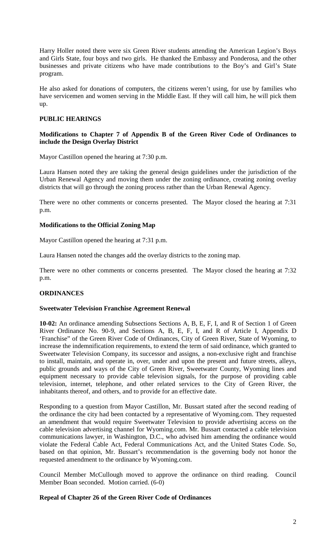Harry Holler noted there were six Green River students attending the American Legion's Boys and Girls State, four boys and two girls. He thanked the Embassy and Ponderosa, and the other businesses and private citizens who have made contributions to the Boy's and Girl's State program.

He also asked for donations of computers, the citizens weren't using, for use by families who have servicemen and women serving in the Middle East. If they will call him, he will pick them up.

## **PUBLIC HEARINGS**

### **Modifications to Chapter 7 of Appendix B of the Green River Code of Ordinances to include the Design Overlay District**

Mayor Castillon opened the hearing at 7:30 p.m.

Laura Hansen noted they are taking the general design guidelines under the jurisdiction of the Urban Renewal Agency and moving them under the zoning ordinance, creating zoning overlay districts that will go through the zoning process rather than the Urban Renewal Agency.

There were no other comments or concerns presented. The Mayor closed the hearing at 7:31 p.m.

## **Modifications to the Official Zoning Map**

Mayor Castillon opened the hearing at 7:31 p.m.

Laura Hansen noted the changes add the overlay districts to the zoning map.

There were no other comments or concerns presented. The Mayor closed the hearing at 7:32 p.m.

### **ORDINANCES**

### **Sweetwater Television Franchise Agreement Renewal**

**10-02:** An ordinance amending Subsections Sections A, B, E, F, I, and R of Section 1 of Green River Ordinance No. 90-9, and Sections A, B, E, F, I, and R of Article I, Appendix D 'Franchise" of the Green River Code of Ordinances, City of Green River, State of Wyoming, to increase the indemnification requirements, to extend the term of said ordinance, which granted to Sweetwater Television Company, its successor and assigns, a non-exclusive right and franchise to install, maintain, and operate in, over, under and upon the present and future streets, alleys, public grounds and ways of the City of Green River, Sweetwater County, Wyoming lines and equipment necessary to provide cable television signals, for the purpose of providing cable television, internet, telephone, and other related services to the City of Green River, the inhabitants thereof, and others, and to provide for an effective date.

Responding to a question from Mayor Castillon, Mr. Bussart stated after the second reading of the ordinance the city had been contacted by a representative of Wyoming.com. They requested an amendment that would require Sweetwater Television to provide advertising access on the cable television advertising channel for Wyoming.com. Mr. Bussart contacted a cable television communications lawyer, in Washington, D.C., who advised him amending the ordinance would violate the Federal Cable Act, Federal Communications Act, and the United States Code. So, based on that opinion, Mr. Bussart's recommendation is the governing body not honor the requested amendment to the ordinance by Wyoming.com.

Council Member McCullough moved to approve the ordinance on third reading. Council Member Boan seconded. Motion carried. (6-0)

### **Repeal of Chapter 26 of the Green River Code of Ordinances**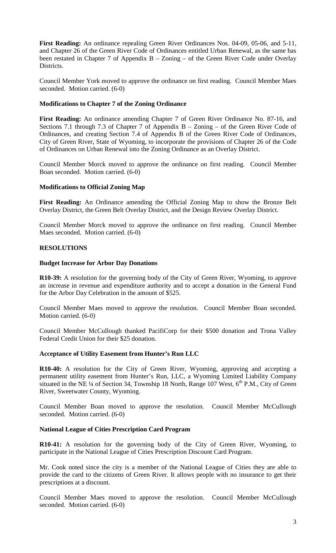**First Reading:** An ordinance repealing Green River Ordinances Nos. 04-09, 05-06, and 5-11, and Chapter 26 of the Green River Code of Ordinances entitled Urban Renewal, as the same has been restated in Chapter 7 of Appendix B – Zoning – of the Green River Code under Overlay Districts.

Council Member York moved to approve the ordinance on first reading. Council Member Maes seconded. Motion carried. (6-0)

## **Modifications to Chapter 7 of the Zoning Ordinance**

**First Reading:** An ordinance amending Chapter 7 of Green River Ordinance No. 87-16, and Sections 7.1 through 7.3 of Chapter 7 of Appendix  $B - Z<sub>oning</sub> - of the Green River Code of$ Ordinances, and creating Section 7.4 of Appendix B of the Green River Code of Ordinances, City of Green River, State of Wyoming, to incorporate the provisions of Chapter 26 of the Code of Ordinances on Urban Renewal into the Zoning Ordinance as an Overlay District.

Council Member Morck moved to approve the ordinance on first reading. Council Member Boan seconded. Motion carried. (6-0)

### **Modifications to Official Zoning Map**

**First Reading:** An Ordinance amending the Official Zoning Map to show the Bronze Belt Overlay District, the Green Belt Overlay District, and the Design Review Overlay District.

Council Member Morck moved to approve the ordinance on first reading. Council Member Maes seconded. Motion carried. (6-0)

### **RESOLUTIONS**

#### **Budget Increase for Arbor Day Donations**

**R10-39:** A resolution for the governing body of the City of Green River, Wyoming, to approve an increase in revenue and expenditure authority and to accept a donation in the General Fund for the Arbor Day Celebration in the amount of \$525.

Council Member Maes moved to approve the resolution. Council Member Boan seconded. Motion carried. (6-0)

Council Member McCullough thanked PacifiCorp for their \$500 donation and Trona Valley Federal Credit Union for their \$25 donation.

### **Acceptance of Utility Easement from Hunter's Run LLC**

**R10-40:** A resolution for the City of Green River, Wyoming, approving and accepting a permanent utility easement from Hunter's Run, LLC, a Wyoming Limited Liability Company situated in the NE  $\frac{1}{4}$  of Section 34, Township 18 North, Range 107 West,  $6^{th}$  P.M., City of Green River, Sweetwater County, Wyoming.

Council Member Boan moved to approve the resolution. Council Member McCullough seconded. Motion carried. (6-0)

### **National League of Cities Prescription Card Program**

**R10-41:** A resolution for the governing body of the City of Green River, Wyoming, to participate in the National League of Cities Prescription Discount Card Program.

Mr. Cook noted since the city is a member of the National League of Cities they are able to provide the card to the citizens of Green River. It allows people with no insurance to get their prescriptions at a discount.

Council Member Maes moved to approve the resolution. Council Member McCullough seconded. Motion carried. (6-0)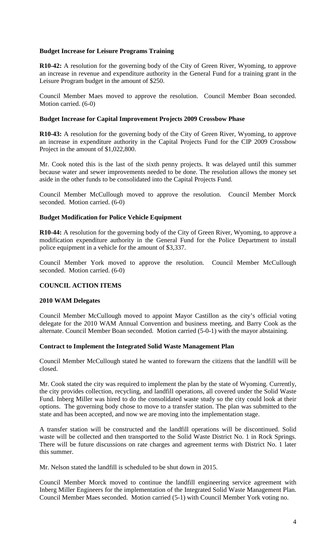## **Budget Increase for Leisure Programs Training**

**R10-42:** A resolution for the governing body of the City of Green River, Wyoming, to approve an increase in revenue and expenditure authority in the General Fund for a training grant in the Leisure Program budget in the amount of \$250.

Council Member Maes moved to approve the resolution. Council Member Boan seconded. Motion carried. (6-0)

### **Budget Increase for Capital Improvement Projects 2009 Crossbow Phase**

**R10-43:** A resolution for the governing body of the City of Green River, Wyoming, to approve an increase in expenditure authority in the Capital Projects Fund for the CIP 2009 Crossbow Project in the amount of \$1,022,800.

Mr. Cook noted this is the last of the sixth penny projects. It was delayed until this summer because water and sewer improvements needed to be done. The resolution allows the money set aside in the other funds to be consolidated into the Capital Projects Fund.

Council Member McCullough moved to approve the resolution. Council Member Morck seconded. Motion carried. (6-0)

#### **Budget Modification for Police Vehicle Equipment**

**R10-44:** A resolution for the governing body of the City of Green River, Wyoming, to approve a modification expenditure authority in the General Fund for the Police Department to install police equipment in a vehicle for the amount of \$3,337.

Council Member York moved to approve the resolution. Council Member McCullough seconded. Motion carried. (6-0)

### **COUNCIL ACTION ITEMS**

#### **2010 WAM Delegates**

Council Member McCullough moved to appoint Mayor Castillon as the city's official voting delegate for the 2010 WAM Annual Convention and business meeting, and Barry Cook as the alternate. Council Member Boan seconded. Motion carried (5-0-1) with the mayor abstaining.

#### **Contract to Implement the Integrated Solid Waste Management Plan**

Council Member McCullough stated he wanted to forewarn the citizens that the landfill will be closed.

Mr. Cook stated the city was required to implement the plan by the state of Wyoming. Currently, the city provides collection, recycling, and landfill operations, all covered under the Solid Waste Fund. Inberg Miller was hired to do the consolidated waste study so the city could look at their options. The governing body chose to move to a transfer station. The plan was submitted to the state and has been accepted, and now we are moving into the implementation stage.

A transfer station will be constructed and the landfill operations will be discontinued. Solid waste will be collected and then transported to the Solid Waste District No. 1 in Rock Springs. There will be future discussions on rate charges and agreement terms with District No. 1 later this summer.

Mr. Nelson stated the landfill is scheduled to be shut down in 2015.

Council Member Morck moved to continue the landfill engineering service agreement with Inberg Miller Engineers for the implementation of the Integrated Solid Waste Management Plan. Council Member Maes seconded. Motion carried (5-1) with Council Member York voting no.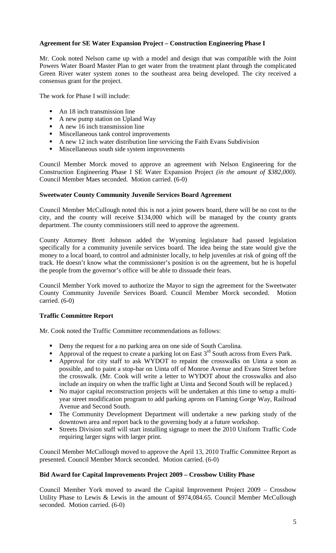## **Agreement for SE Water Expansion Project – Construction Engineering Phase I**

Mr. Cook noted Nelson came up with a model and design that was compatible with the Joint Powers Water Board Master Plan to get water from the treatment plant through the complicated Green River water system zones to the southeast area being developed. The city received a consensus grant for the project.

The work for Phase I will include:

- An 18 inch transmission line
- A new pump station on Upland Way
- A new 16 inch transmission line
- Miscellaneous tank control improvements
- A new 12 inch water distribution line servicing the Faith Evans Subdivision
- **Miscellaneous south side system improvements**

Council Member Morck moved to approve an agreement with Nelson Engineering for the Construction Engineering Phase I SE Water Expansion Project *(in the amount of \$382,000)*. Council Member Maes seconded. Motion carried. (6-0)

### **Sweetwater County Community Juvenile Services Board Agreement**

Council Member McCullough noted this is not a joint powers board, there will be no cost to the city, and the county will receive \$134,000 which will be managed by the county grants department. The county commissioners still need to approve the agreement.

County Attorney Brett Johnson added the Wyoming legislature had passed legislation specifically for a community juvenile services board. The idea being the state would give the money to a local board, to control and administer locally, to help juveniles at risk of going off the track. He doesn't know what the commissioner's position is on the agreement, but he is hopeful the people from the governor's office will be able to dissuade their fears.

Council Member York moved to authorize the Mayor to sign the agreement for the Sweetwater County Community Juvenile Services Board. Council Member Morck seconded. Motion carried. (6-0)

# **Traffic Committee Report**

Mr. Cook noted the Traffic Committee recommendations as follows:

- **•** Deny the request for a no parking area on one side of South Carolina.
- Approval of the request to create a parking lot on East  $3<sup>rd</sup>$  South across from Evers Park.
- Approval for city staff to ask WYDOT to repaint the crosswalks on Uinta a soon as possible, and to paint a stop-bar on Uinta off of Monroe Avenue and Evans Street before the crosswalk. (Mr. Cook will write a letter to WYDOT about the crosswalks and also include an inquiry on when the traffic light at Uinta and Second South will be replaced.)
- No major capital reconstruction projects will be undertaken at this time to setup a multiyear street modification program to add parking aprons on Flaming Gorge Way, Railroad Avenue and Second South.
- The Community Development Department will undertake a new parking study of the downtown area and report back to the governing body at a future workshop.
- Streets Division staff will start installing signage to meet the 2010 Uniform Traffic Code requiring larger signs with larger print.

Council Member McCullough moved to approve the April 13, 2010 Traffic Committee Report as presented. Council Member Morck seconded. Motion carried. (6-0)

### **Bid Award for Capital Improvements Project 2009 – Crossbow Utility Phase**

Council Member York moved to award the Capital Improvement Project 2009 – Crossbow Utility Phase to Lewis & Lewis in the amount of \$974,084.65. Council Member McCullough seconded. Motion carried. (6-0)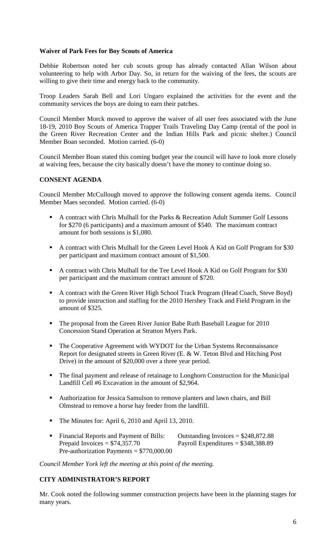### **Waiver of Park Fees for Boy Scouts of America**

Debbie Robertson noted her cub scouts group has already contacted Allan Wilson about volunteering to help with Arbor Day. So, in return for the waiving of the fees, the scouts are willing to give their time and energy back to the community.

Troop Leaders Sarah Bell and Lori Ungaro explained the activities for the event and the community services the boys are doing to earn their patches.

Council Member Morck moved to approve the waiver of all user fees associated with the June 18-19, 2010 Boy Scouts of America Trapper Trails Traveling Day Camp (rental of the pool in the Green River Recreation Center and the Indian Hills Park and picnic shelter.) Council Member Boan seconded. Motion carried. (6-0)

Council Member Boan stated this coming budget year the council will have to look more closely at waiving fees, because the city basically doesn't have the money to continue doing so.

# **CONSENT AGENDA**

Council Member McCullough moved to approve the following consent agenda items. Council Member Maes seconded. Motion carried. (6-0)

- A contract with Chris Mulhall for the Parks & Recreation Adult Summer Golf Lessons for \$270 (6 participants) and a maximum amount of \$540. The maximum contract amount for both sessions is \$1,080.
- A contract with Chris Mulhall for the Green Level Hook A Kid on Golf Program for \$30 per participant and maximum contract amount of \$1,500.
- A contract with Chris Mulhall for the Tee Level Hook A Kid on Golf Program for \$30 per participant and the maximum contract amount of \$720.
- A contract with the Green River High School Track Program (Head Coach, Steve Boyd) to provide instruction and staffing for the 2010 Hershey Track and Field Program in the amount of \$325.
- The proposal from the Green River Junior Babe Ruth Baseball League for 2010 Concession Stand Operation at Stratton Myers Park.
- The Cooperative Agreement with WYDOT for the Urban Systems Reconnaissance Report for designated streets in Green River (E. & W. Teton Blvd and Hitching Post Drive) in the amount of \$20,000 over a three year period.
- The final payment and release of retainage to Longhorn Construction for the Municipal Landfill Cell #6 Excavation in the amount of \$2,964.
- Authorization for Jessica Samulson to remove planters and lawn chairs, and Bill Olmstead to remove a horse hay feeder from the landfill.
- The Minutes for: April 6, 2010 and April 13, 2010.
- Financial Reports and Payment of Bills: Outstanding Invoices = \$248,872.88<br>Prepaid Invoices = \$74,357.70 Payroll Expenditures = \$348,388.89 Payroll Expenditures  $= $348,388.89$ Pre-authorization Payments = \$770,000.00

*Council Member York left the meeting at this point of the meeting.*

# **CITY ADMINISTRATOR'S REPORT**

Mr. Cook noted the following summer construction projects have been in the planning stages for many years.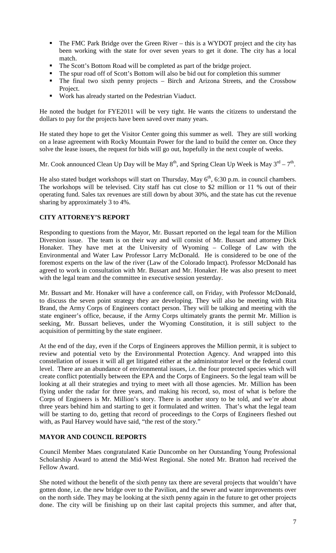- The FMC Park Bridge over the Green River this is a WYDOT project and the city has been working with the state for over seven years to get it done. The city has a local match.
- The Scott's Bottom Road will be completed as part of the bridge project.
- The spur road off of Scott's Bottom will also be bid out for completion this summer
- The final two sixth penny projects Birch and Arizona Streets, and the Crossbow Project.
- Work has already started on the Pedestrian Viaduct.

He noted the budget for FYE2011 will be very tight. He wants the citizens to understand the dollars to pay for the projects have been saved over many years.

He stated they hope to get the Visitor Center going this summer as well. They are still working on a lease agreement with Rocky Mountain Power for the land to build the center on. Once they solve the lease issues, the request for bids will go out, hopefully in the next couple of weeks.

Mr. Cook announced Clean Up Day will be May  $8^{th}$ , and Spring Clean Up Week is May  $3^{rd} - 7^{th}$ .

He also stated budget workshops will start on Thursday, May  $6<sup>th</sup>$ , 6:30 p.m. in council chambers. The workshops will be televised. City staff has cut close to \$2 million or 11 % out of their operating fund. Sales tax revenues are still down by about 30%, and the state has cut the revenue sharing by approximately 3 to 4%.

### **CITY ATTORNEY'S REPORT**

Responding to questions from the Mayor, Mr. Bussart reported on the legal team for the Million Diversion issue. The team is on their way and will consist of Mr. Bussart and attorney Dick Honaker. They have met at the University of Wyoming – College of Law with the Environmental and Water Law Professor Larry McDonald. He is considered to be one of the foremost experts on the law of the river (Law of the Colorado Impact). Professor McDonald has agreed to work in consultation with Mr. Bussart and Mr. Honaker. He was also present to meet with the legal team and the committee in executive session yesterday.

Mr. Bussart and Mr. Honaker will have a conference call, on Friday, with Professor McDonald, to discuss the seven point strategy they are developing. They will also be meeting with Rita Brand, the Army Corps of Engineers contact person. They will be talking and meeting with the state engineer's office, because, if the Army Corps ultimately grants the permit Mr. Million is seeking, Mr. Bussart believes, under the Wyoming Constitution, it is still subject to the acquisition of permitting by the state engineer.

At the end of the day, even if the Corps of Engineers approves the Million permit, it is subject to review and potential veto by the Environmental Protection Agency. And wrapped into this constellation of issues it will all get litigated either at the administrator level or the federal court level. There are an abundance of environmental issues, i.e. the four protected species which will create conflict potentially between the EPA and the Corps of Engineers. So the legal team will be looking at all their strategies and trying to meet with all those agencies. Mr. Million has been flying under the radar for three years, and making his record, so, most of what is before the Corps of Engineers is Mr. Million's story. There is another story to be told, and we're about three years behind him and starting to get it formulated and written. That's what the legal team will be starting to do, getting that record of proceedings to the Corps of Engineers fleshed out with, as Paul Harvey would have said, "the rest of the story."

# **MAYOR AND COUNCIL REPORTS**

Council Member Maes congratulated Katie Duncombe on her Outstanding Young Professional Scholarship Award to attend the Mid-West Regional. She noted Mr. Bratton had received the Fellow Award.

She noted without the benefit of the sixth penny tax there are several projects that wouldn't have gotten done, i.e. the new bridge over to the Pavilion, and the sewer and water improvements over on the north side. They may be looking at the sixth penny again in the future to get other projects done. The city will be finishing up on their last capital projects this summer, and after that,